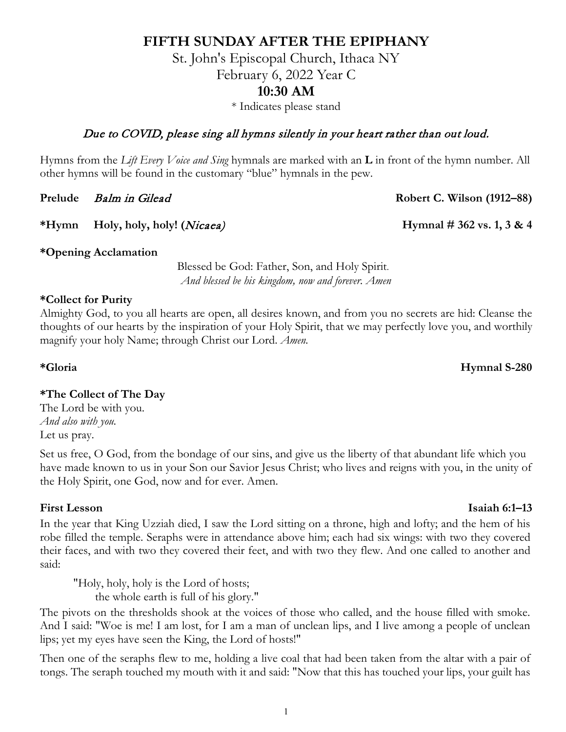# **FIFTH SUNDAY AFTER THE EPIPHANY**

St. John's Episcopal Church, Ithaca NY

February 6, 2022 Year C

# **10:30 AM**

\* Indicates please stand

# Due to COVID, please sing all hymns silently in your heart rather than out loud.

Hymns from the *Lift Every Voice and Sing* hymnals are marked with an **L** in front of the hymn number. All other hymns will be found in the customary "blue" hymnals in the pew.

Prelude *Balm in Gilead* **Robert C. Wilson (1912–88)** 

\*Hymn Holy, holy, holy!  $(Nicaea)$  Hymnal # 362 vs. 1, 3 & 4

**\*Opening Acclamation**

Blessed be God: Father, Son, and Holy Spirit. *And blessed be his kingdom, now and forever. Amen*

# **\*Collect for Purity**

Almighty God, to you all hearts are open, all desires known, and from you no secrets are hid: Cleanse the thoughts of our hearts by the inspiration of your Holy Spirit, that we may perfectly love you, and worthily magnify your holy Name; through Christ our Lord. *Amen.*

### **\*Gloria Hymnal S-280**

# **\*The Collect of The Day**

The Lord be with you. *And also with you.* Let us pray.

Set us free, O God, from the bondage of our sins, and give us the liberty of that abundant life which you have made known to us in your Son our Savior Jesus Christ; who lives and reigns with you, in the unity of the Holy Spirit, one God, now and for ever. Amen.

# **First Lesson Isaiah 6:1–13**

In the year that King Uzziah died, I saw the Lord sitting on a throne, high and lofty; and the hem of his robe filled the temple. Seraphs were in attendance above him; each had six wings: with two they covered their faces, and with two they covered their feet, and with two they flew. And one called to another and said:

"Holy, holy, holy is the Lord of hosts; the whole earth is full of his glory."

The pivots on the thresholds shook at the voices of those who called, and the house filled with smoke. And I said: "Woe is me! I am lost, for I am a man of unclean lips, and I live among a people of unclean lips; yet my eyes have seen the King, the Lord of hosts!"

Then one of the seraphs flew to me, holding a live coal that had been taken from the altar with a pair of tongs. The seraph touched my mouth with it and said: "Now that this has touched your lips, your guilt has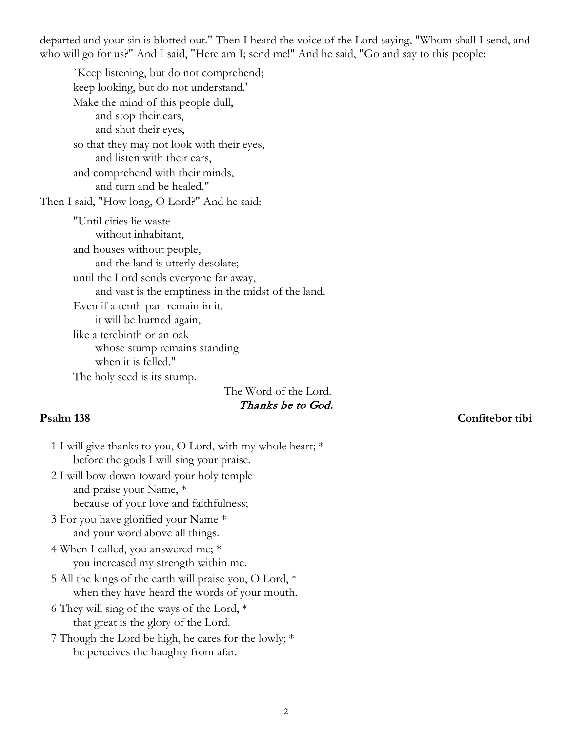departed and your sin is blotted out." Then I heard the voice of the Lord saying, "Whom shall I send, and who will go for us?" And I said, "Here am I; send me!" And he said, "Go and say to this people:

`Keep listening, but do not comprehend; keep looking, but do not understand.' Make the mind of this people dull, and stop their ears, and shut their eyes, so that they may not look with their eyes, and listen with their ears, and comprehend with their minds, and turn and be healed." Then I said, "How long, O Lord?" And he said: "Until cities lie waste without inhabitant, and houses without people, and the land is utterly desolate; until the Lord sends everyone far away, and vast is the emptiness in the midst of the land. Even if a tenth part remain in it, it will be burned again, like a terebinth or an oak whose stump remains standing when it is felled." The holy seed is its stump.

> The Word of the Lord. Thanks be to God.

| 1 I will give thanks to you, O Lord, with my whole heart; * |
|-------------------------------------------------------------|
| before the gods I will sing your praise.                    |
| 2 I will bow down toward your holy temple                   |

2 I will bow down toward your holy temple and praise your Name, \* because of your love and faithfulness;

3 For you have glorified your Name \* and your word above all things.

- 4 When I called, you answered me; \* you increased my strength within me.
- 5 All the kings of the earth will praise you, O Lord, \* when they have heard the words of your mouth.
- 6 They will sing of the ways of the Lord, \* that great is the glory of the Lord.
- 7 Though the Lord be high, he cares for the lowly; \* he perceives the haughty from afar.

### **Psalm 138 Confitebor tibi**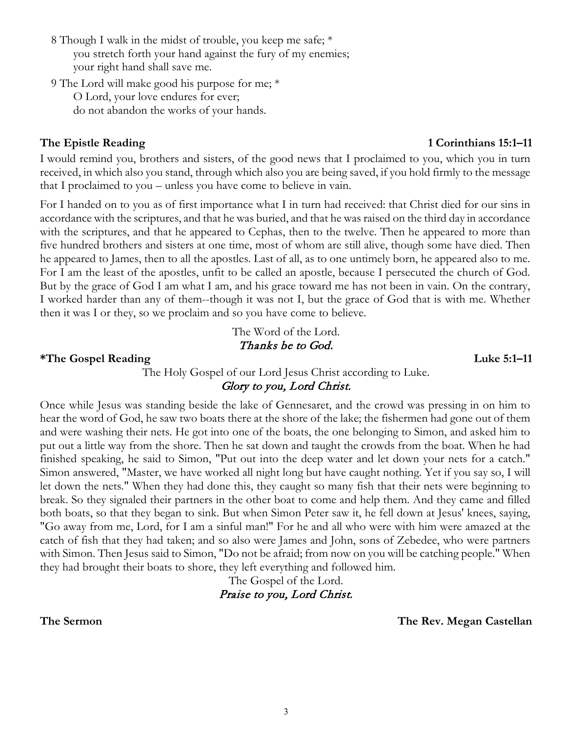- 8 Though I walk in the midst of trouble, you keep me safe; \* you stretch forth your hand against the fury of my enemies; your right hand shall save me.
- 9 The Lord will make good his purpose for me; \* O Lord, your love endures for ever; do not abandon the works of your hands.

# **The Epistle Reading 1 Corinthians 15:1–11**

I would remind you, brothers and sisters, of the good news that I proclaimed to you, which you in turn received, in which also you stand, through which also you are being saved, if you hold firmly to the message that I proclaimed to you – unless you have come to believe in vain.

For I handed on to you as of first importance what I in turn had received: that Christ died for our sins in accordance with the scriptures, and that he was buried, and that he was raised on the third day in accordance with the scriptures, and that he appeared to Cephas, then to the twelve. Then he appeared to more than five hundred brothers and sisters at one time, most of whom are still alive, though some have died. Then he appeared to James, then to all the apostles. Last of all, as to one untimely born, he appeared also to me. For I am the least of the apostles, unfit to be called an apostle, because I persecuted the church of God. But by the grace of God I am what I am, and his grace toward me has not been in vain. On the contrary, I worked harder than any of them--though it was not I, but the grace of God that is with me. Whether then it was I or they, so we proclaim and so you have come to believe.

> The Word of the Lord. Thanks be to God.

The Holy Gospel of our Lord Jesus Christ according to Luke. Glory to you, Lord Christ.

**\*The Gospel Reading Luke 5:1–11**

Once while Jesus was standing beside the lake of Gennesaret, and the crowd was pressing in on him to hear the word of God, he saw two boats there at the shore of the lake; the fishermen had gone out of them and were washing their nets. He got into one of the boats, the one belonging to Simon, and asked him to put out a little way from the shore. Then he sat down and taught the crowds from the boat. When he had finished speaking, he said to Simon, "Put out into the deep water and let down your nets for a catch." Simon answered, "Master, we have worked all night long but have caught nothing. Yet if you say so, I will let down the nets." When they had done this, they caught so many fish that their nets were beginning to break. So they signaled their partners in the other boat to come and help them. And they came and filled both boats, so that they began to sink. But when Simon Peter saw it, he fell down at Jesus' knees, saying, "Go away from me, Lord, for I am a sinful man!" For he and all who were with him were amazed at the catch of fish that they had taken; and so also were James and John, sons of Zebedee, who were partners with Simon. Then Jesus said to Simon, "Do not be afraid; from now on you will be catching people." When they had brought their boats to shore, they left everything and followed him.

> The Gospel of the Lord. Praise to you, Lord Christ.

**The Sermon The Rev. Megan Castellan**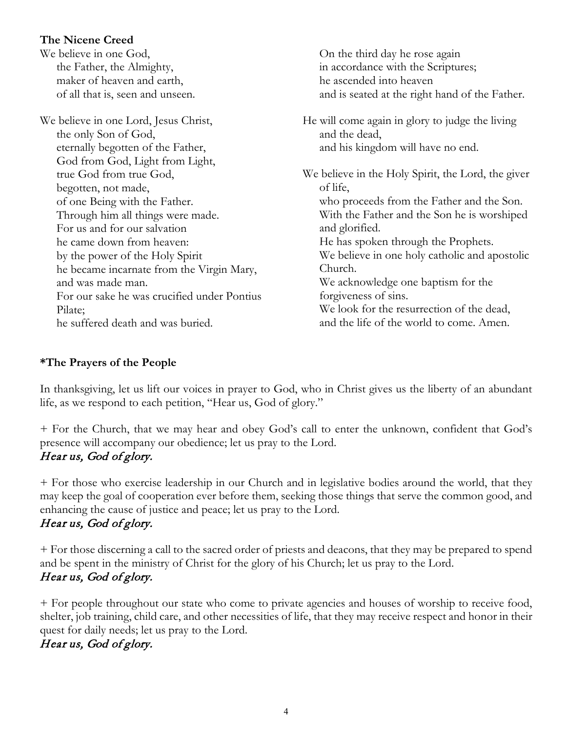# **The Nicene Creed**

We believe in one God, the Father, the Almighty, maker of heaven and earth, of all that is, seen and unseen.

We believe in one Lord, Jesus Christ, the only Son of God, eternally begotten of the Father, God from God, Light from Light, true God from true God, begotten, not made, of one Being with the Father. Through him all things were made. For us and for our salvation he came down from heaven: by the power of the Holy Spirit he became incarnate from the Virgin Mary, and was made man. For our sake he was crucified under Pontius Pilate; he suffered death and was buried.

On the third day he rose again in accordance with the Scriptures; he ascended into heaven and is seated at the right hand of the Father. He will come again in glory to judge the living and the dead, and his kingdom will have no end. We believe in the Holy Spirit, the Lord, the giver of life, who proceeds from the Father and the Son. With the Father and the Son he is worshiped and glorified. He has spoken through the Prophets. We believe in one holy catholic and apostolic Church. We acknowledge one baptism for the forgiveness of sins. We look for the resurrection of the dead, and the life of the world to come. Amen.

# **\*The Prayers of the People**

In thanksgiving, let us lift our voices in prayer to God, who in Christ gives us the liberty of an abundant life, as we respond to each petition, "Hear us, God of glory."

+ For the Church, that we may hear and obey God's call to enter the unknown, confident that God's presence will accompany our obedience; let us pray to the Lord. Hear us, God of glory.

+ For those who exercise leadership in our Church and in legislative bodies around the world, that they may keep the goal of cooperation ever before them, seeking those things that serve the common good, and enhancing the cause of justice and peace; let us pray to the Lord.

# Hear us, God of glory.

+ For those discerning a call to the sacred order of priests and deacons, that they may be prepared to spend and be spent in the ministry of Christ for the glory of his Church; let us pray to the Lord. Hear us, God of glory.

+ For people throughout our state who come to private agencies and houses of worship to receive food, shelter, job training, child care, and other necessities of life, that they may receive respect and honor in their quest for daily needs; let us pray to the Lord.

# Hear us, God of glory.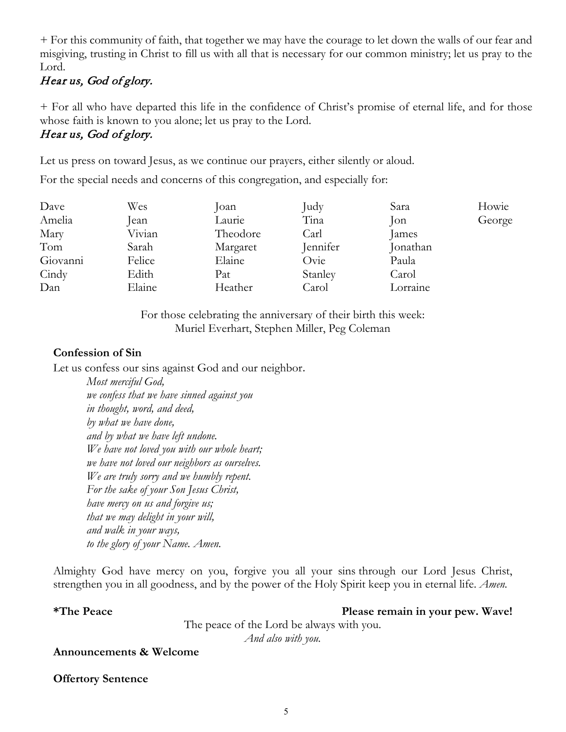+ For this community of faith, that together we may have the courage to let down the walls of our fear and misgiving, trusting in Christ to fill us with all that is necessary for our common ministry; let us pray to the Lord.

# Hear us, God of glory.

+ For all who have departed this life in the confidence of Christ's promise of eternal life, and for those whose faith is known to you alone; let us pray to the Lord.

# Hear us, God of glory.

Let us press on toward Jesus, as we continue our prayers, either silently or aloud.

For the special needs and concerns of this congregation, and especially for:

| Dave     | Wes    | $\alpha$ n | Judy     | Sara        | Howie  |
|----------|--------|------------|----------|-------------|--------|
| Amelia   | lean   | Laurie     | Tina     | $\lceil$ on | George |
| Mary     | Vivian | Theodore   | Carl     | James       |        |
| Tom      | Sarah  | Margaret   | Jennifer | Jonathan    |        |
| Giovanni | Felice | Elaine     | Ovie     | Paula       |        |
| Cindy    | Edith  | Pat        | Stanley  | Carol       |        |
| Dan      | Elaine | Heather    | Carol    | Lorraine    |        |

For those celebrating the anniversary of their birth this week: Muriel Everhart, Stephen Miller, Peg Coleman

# **Confession of Sin**

Let us confess our sins against God and our neighbor.

*Most merciful God, we confess that we have sinned against you in thought, word, and deed, by what we have done, and by what we have left undone. We have not loved you with our whole heart; we have not loved our neighbors as ourselves. We are truly sorry and we humbly repent. For the sake of your Son Jesus Christ, have mercy on us and forgive us; that we may delight in your will, and walk in your ways, to the glory of your Name. Amen.*

Almighty God have mercy on you, forgive you all your sins through our Lord Jesus Christ, strengthen you in all goodness, and by the power of the Holy Spirit keep you in eternal life. *Amen.*

**\*The Peace Please remain in your pew. Wave!**

The peace of the Lord be always with you.

# *And also with you.*

# **Announcements & Welcome**

### **Offertory Sentence**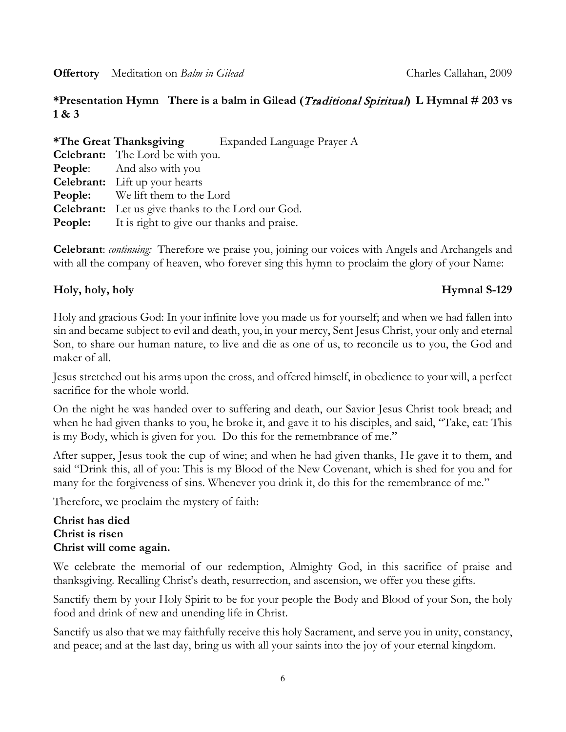## **\*Presentation Hymn There is a balm in Gilead (**Traditional Spiritual**) L Hymnal # 203 vs 1 & 3**

|                                                           | *The Great Thanksgiving Expanded Language Prayer A |
|-----------------------------------------------------------|----------------------------------------------------|
| <b>Celebrant:</b> The Lord be with you.                   |                                                    |
| <b>People:</b> And also with you                          |                                                    |
| <b>Celebrant:</b> Lift up your hearts                     |                                                    |
| <b>People:</b> We lift them to the Lord                   |                                                    |
| <b>Celebrant:</b> Let us give thanks to the Lord our God. |                                                    |
| <b>People:</b> It is right to give our thanks and praise. |                                                    |

**Celebrant**: *continuing:* Therefore we praise you, joining our voices with Angels and Archangels and with all the company of heaven, who forever sing this hymn to proclaim the glory of your Name:

### **Holy, holy, holy Hymnal S-129**

Holy and gracious God: In your infinite love you made us for yourself; and when we had fallen into sin and became subject to evil and death, you, in your mercy, Sent Jesus Christ, your only and eternal Son, to share our human nature, to live and die as one of us, to reconcile us to you, the God and maker of all.

Jesus stretched out his arms upon the cross, and offered himself, in obedience to your will, a perfect sacrifice for the whole world.

On the night he was handed over to suffering and death, our Savior Jesus Christ took bread; and when he had given thanks to you, he broke it, and gave it to his disciples, and said, "Take, eat: This is my Body, which is given for you. Do this for the remembrance of me."

After supper, Jesus took the cup of wine; and when he had given thanks, He gave it to them, and said "Drink this, all of you: This is my Blood of the New Covenant, which is shed for you and for many for the forgiveness of sins. Whenever you drink it, do this for the remembrance of me."

Therefore, we proclaim the mystery of faith:

# **Christ has died Christ is risen Christ will come again.**

We celebrate the memorial of our redemption, Almighty God, in this sacrifice of praise and thanksgiving. Recalling Christ's death, resurrection, and ascension, we offer you these gifts.

Sanctify them by your Holy Spirit to be for your people the Body and Blood of your Son, the holy food and drink of new and unending life in Christ.

Sanctify us also that we may faithfully receive this holy Sacrament, and serve you in unity, constancy, and peace; and at the last day, bring us with all your saints into the joy of your eternal kingdom.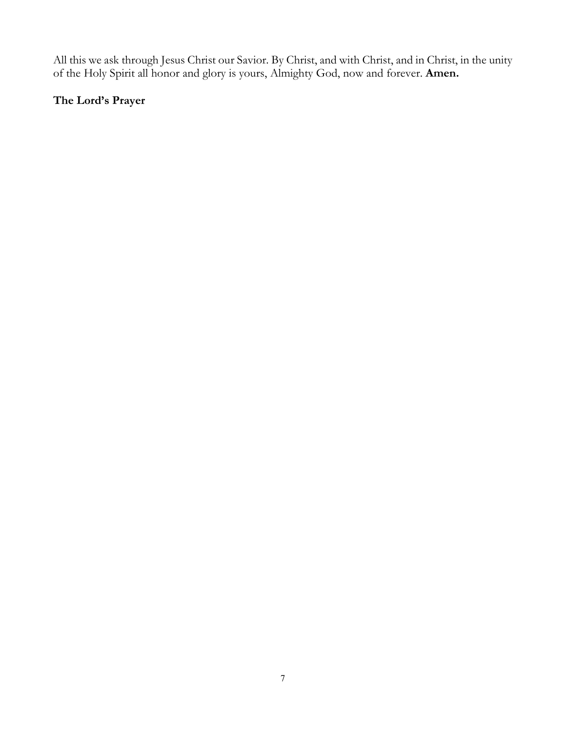All this we ask through Jesus Christ our Savior. By Christ, and with Christ, and in Christ, in the unity of the Holy Spirit all honor and glory is yours, Almighty God, now and forever. **Amen.**

# **The Lord's Prayer**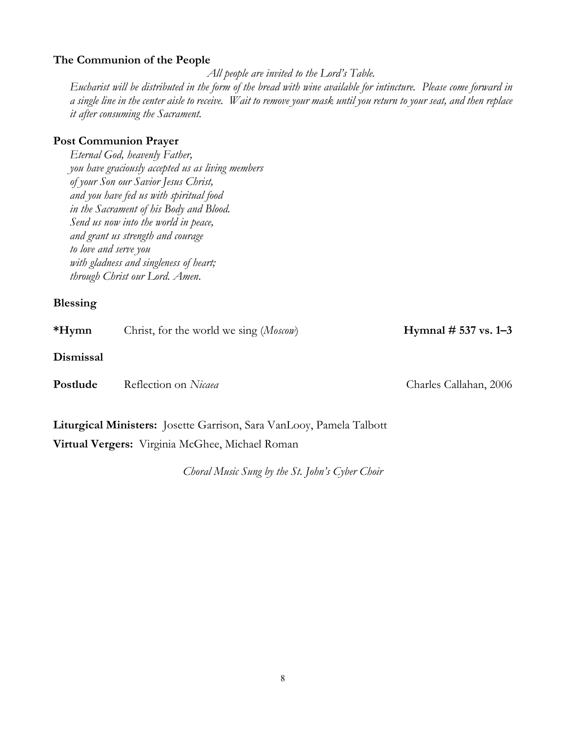### **The Communion of the People**

*All people are invited to the Lord's Table.*

*Eucharist will be distributed in the form of the bread with wine available for intincture. Please come forward in a single line in the center aisle to receive. Wait to remove your mask until you return to your seat, and then replace it after consuming the Sacrament.* 

### **Post Communion Prayer**

*Eternal God, heavenly Father, you have graciously accepted us as living members of your Son our Savior Jesus Christ, and you have fed us with spiritual food in the Sacrament of his Body and Blood. Send us now into the world in peace, and grant us strength and courage to love and serve you with gladness and singleness of heart; through Christ our Lord. Amen*.

### **Blessing**

| $*Hymn$                                                              | Christ, for the world we sing (Moscow) | Hymnal $# 537$ vs. 1–3 |  |  |  |  |
|----------------------------------------------------------------------|----------------------------------------|------------------------|--|--|--|--|
| Dismissal                                                            |                                        |                        |  |  |  |  |
| Postlude                                                             | Reflection on Nicaea                   | Charles Callahan, 2006 |  |  |  |  |
| Liturgical Ministers: Josette Garrison, Sara VanLooy, Pamela Talbott |                                        |                        |  |  |  |  |

**Virtual Vergers:** Virginia McGhee, Michael Roman

*Choral Music Sung by the St. John's Cyber Choir*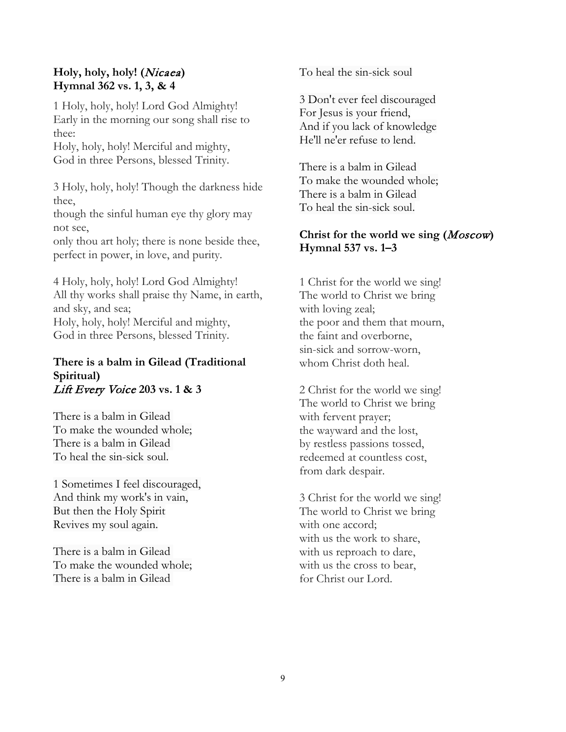### **Holy, holy, holy! (**Nicaea**) Hymnal 362 vs. 1, 3, & 4**

1 Holy, holy, holy! Lord God Almighty! Early in the morning our song shall rise to thee:

Holy, holy, holy! Merciful and mighty, God in three Persons, blessed Trinity.

3 Holy, holy, holy! Though the darkness hide thee,

though the sinful human eye thy glory may not see,

only thou art holy; there is none beside thee, perfect in power, in love, and purity.

4 Holy, holy, holy! Lord God Almighty! All thy works shall praise thy Name, in earth, and sky, and sea; Holy, holy, holy! Merciful and mighty, God in three Persons, blessed Trinity.

### **There is a balm in Gilead (Traditional Spiritual)** Lift Every Voice **203 vs. 1 & 3**

There is a balm in Gilead To make the wounded whole; There is a balm in Gilead To heal the sin-sick soul.

1 Sometimes I feel discouraged, And think my work's in vain, But then the Holy Spirit Revives my soul again.

There is a balm in Gilead To make the wounded whole; There is a balm in Gilead

To heal the sin-sick soul

3 Don't ever feel discouraged For Jesus is your friend, And if you lack of knowledge He'll ne'er refuse to lend.

There is a balm in Gilead To make the wounded whole; There is a balm in Gilead To heal the sin-sick soul.

### **Christ for the world we sing (**Moscow**) Hymnal 537 vs. 1–3**

1 Christ for the world we sing! The world to Christ we bring with loving zeal; the poor and them that mourn, the faint and overborne, sin-sick and sorrow-worn, whom Christ doth heal.

2 Christ for the world we sing! The world to Christ we bring with fervent prayer; the wayward and the lost, by restless passions tossed, redeemed at countless cost, from dark despair.

3 Christ for the world we sing! The world to Christ we bring with one accord; with us the work to share, with us reproach to dare, with us the cross to bear, for Christ our Lord.